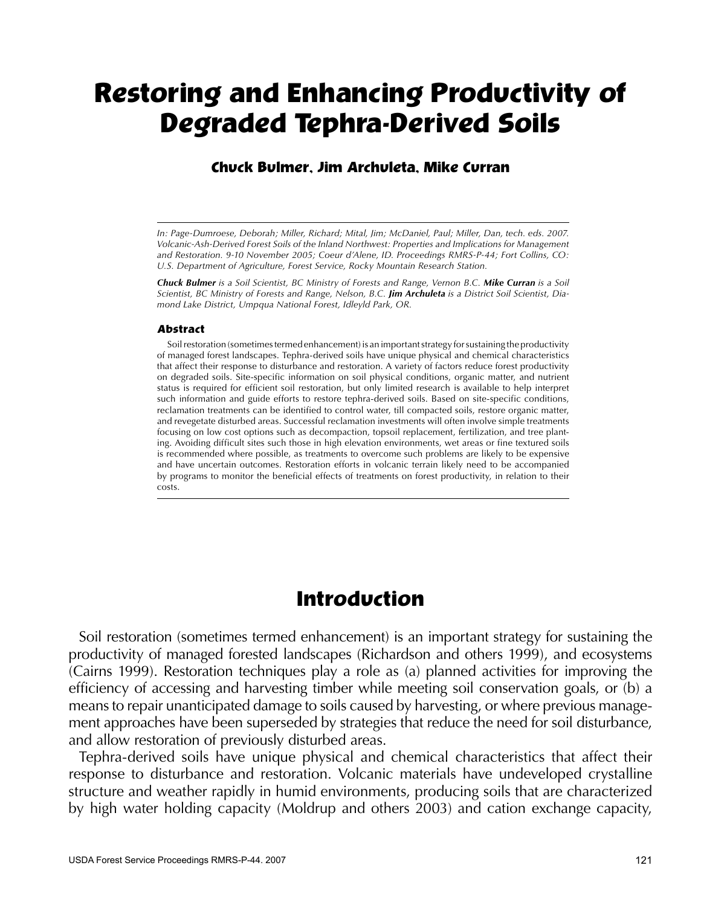# **Restoring and Enhancing Productivity of Degraded Tephra-Derived Soils**

#### **Chuck Bulmer, Jim Archuleta, Mike Curran**

*In: Page-Dumroese, Deborah; Miller, Richard; Mital, Jim; McDaniel, Paul; Miller, Dan, tech. eds. 2007. Volcanic-Ash-Derived Forest Soils of the Inland Northwest: Properties and Implications for Management and Restoration. 9-10 November 2005; Coeur d'Alene, ID. Proceedings RMRS-P-44; Fort Collins, CO: U.S. Department of Agriculture, Forest Service, Rocky Mountain Research Station.*

*Chuck Bulmer is a Soil Scientist, BC Ministry of Forests and Range, Vernon B.C. Mike Curran is a Soil Scientist, BC Ministry of Forests and Range, Nelson, B.C. Jim Archuleta is a District Soil Scientist, Diamond Lake District, Umpqua National Forest, Idleyld Park, OR.*

#### **Abstract**

 Soilrestoration (sometimestermed enhancement) is an importantstrategy forsustaining the productivity of managed forest landscapes. Tephra-derived soils have unique physical and chemical characteristics that affect their response to disturbance and restoration. A variety of factors reduce forest productivity on degraded soils. Site-specific information on soil physical conditions, organic matter, and nutrient status is required for efficient soil restoration, but only limited research is available to help interpret such information and guide efforts to restore tephra-derived soils. Based on site-specific conditions, reclamation treatments can be identified to control water, till compacted soils, restore organic matter, and revegetate disturbed areas. Successful reclamation investments will often involve simple treatments focusing on low cost options such as decompaction, topsoil replacement, fertilization, and tree planting. Avoiding difficult sites such those in high elevation environments, wet areas or fine textured soils is recommended where possible, as treatments to overcome such problems are likely to be expensive and have uncertain outcomes. Restoration efforts in volcanic terrain likely need to be accompanied by programs to monitor the beneficial effects of treatments on forest productivity, in relation to their costs.

# **Introduction**

 Soil restoration (sometimes termed enhancement) is an important strategy for sustaining the productivity of managed forested landscapes (Richardson and others 1999), and ecosystems (Cairns 1999). Restoration techniques play a role as (a) planned activities for improving the efficiency of accessing and harvesting timber while meeting soil conservation goals, or (b) a means to repair unanticipated damage to soils caused by harvesting, or where previous management approaches have been superseded by strategies that reduce the need for soil disturbance, and allow restoration of previously disturbed areas.

 Tephra-derived soils have unique physical and chemical characteristics that affect their response to disturbance and restoration. Volcanic materials have undeveloped crystalline structure and weather rapidly in humid environments, producing soils that are characterized by high water holding capacity (Moldrup and others 2003) and cation exchange capacity,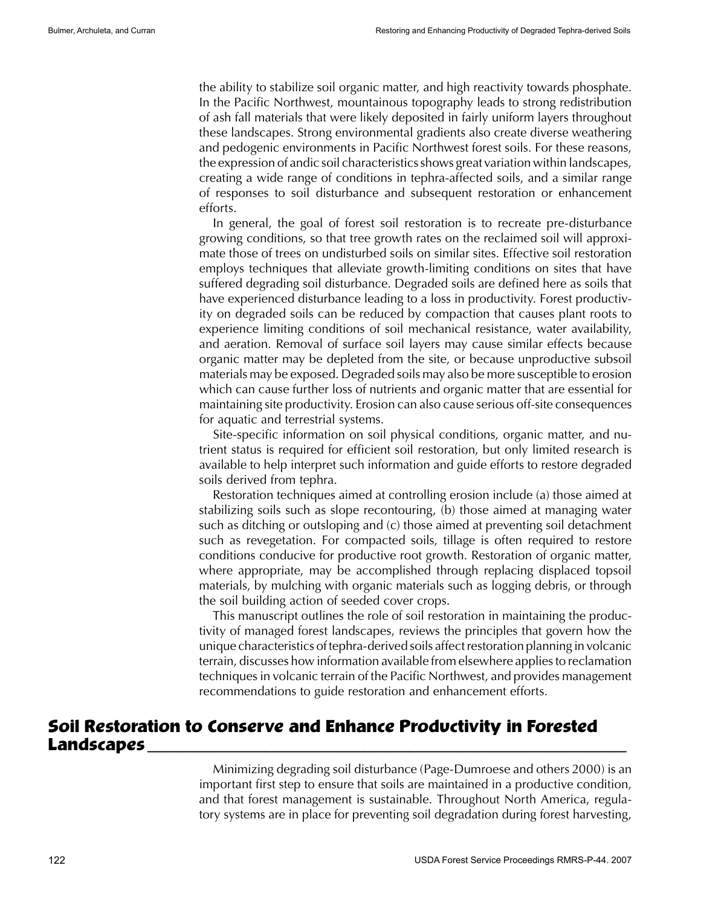the ability to stabilize soil organic matter, and high reactivity towards phosphate. In the Pacific Northwest, mountainous topography leads to strong redistribution of ash fall materials that were likely deposited in fairly uniform layers throughout these landscapes. Strong environmental gradients also create diverse weathering and pedogenic environments in Pacific Northwest forest soils. For these reasons, the expression of andic soil characteristicsshows great variation within landscapes, creating a wide range of conditions in tephra-affected soils, and a similar range of responses to soil disturbance and subsequent restoration or enhancement efforts.

In general, the goal of forest soil restoration is to recreate pre-disturbance growing conditions, so that tree growth rates on the reclaimed soil will approximate those of trees on undisturbed soils on similar sites. Effective soil restoration employs techniques that alleviate growth-limiting conditions on sites that have suffered degrading soil disturbance. Degraded soils are defined here as soils that have experienced disturbance leading to a loss in productivity. Forest productivity on degraded soils can be reduced by compaction that causes plant roots to experience limiting conditions of soil mechanical resistance, water availability, and aeration. Removal of surface soil layers may cause similar effects because organic matter may be depleted from the site, or because unproductive subsoil materials may be exposed. Degraded soils may also be more susceptible to erosion which can cause further loss of nutrients and organic matter that are essential for maintaining site productivity. Erosion can also cause serious off-site consequences for aquatic and terrestrial systems.

Site-specific information on soil physical conditions, organic matter, and nutrient status is required for efficient soil restoration, but only limited research is available to help interpret such information and guide efforts to restore degraded soils derived from tephra.

Restoration techniques aimed at controlling erosion include (a) those aimed at stabilizing soils such as slope recontouring, (b) those aimed at managing water such as ditching or outsloping and (c) those aimed at preventing soil detachment such as revegetation. For compacted soils, tillage is often required to restore conditions conducive for productive root growth. Restoration of organic matter, where appropriate, may be accomplished through replacing displaced topsoil materials, by mulching with organic materials such as logging debris, or through the soil building action of seeded cover crops.

This manuscript outlines the role of soil restoration in maintaining the productivity of managed forest landscapes, reviews the principles that govern how the unique characteristics of tephra-derived soils affectrestoration planning in volcanic terrain, discusses how information available from elsewhere appliesto reclamation techniques in volcanic terrain of the Pacific Northwest, and provides management recommendations to guide restoration and enhancement efforts.

# **Soil Restoration to Conserve and Enhance Productivity in Forested Landscapes \_\_\_\_\_\_\_\_\_\_\_\_\_\_\_\_\_\_\_\_\_\_\_\_\_\_\_\_\_\_\_\_\_\_\_\_\_\_\_\_\_\_\_\_\_\_\_\_\_\_\_\_\_**

Minimizing degrading soil disturbance (Page-Dumroese and others 2000) is an important first step to ensure that soils are maintained in a productive condition, and that forest management is sustainable. Throughout North America, regulatory systems are in place for preventing soil degradation during forest harvesting,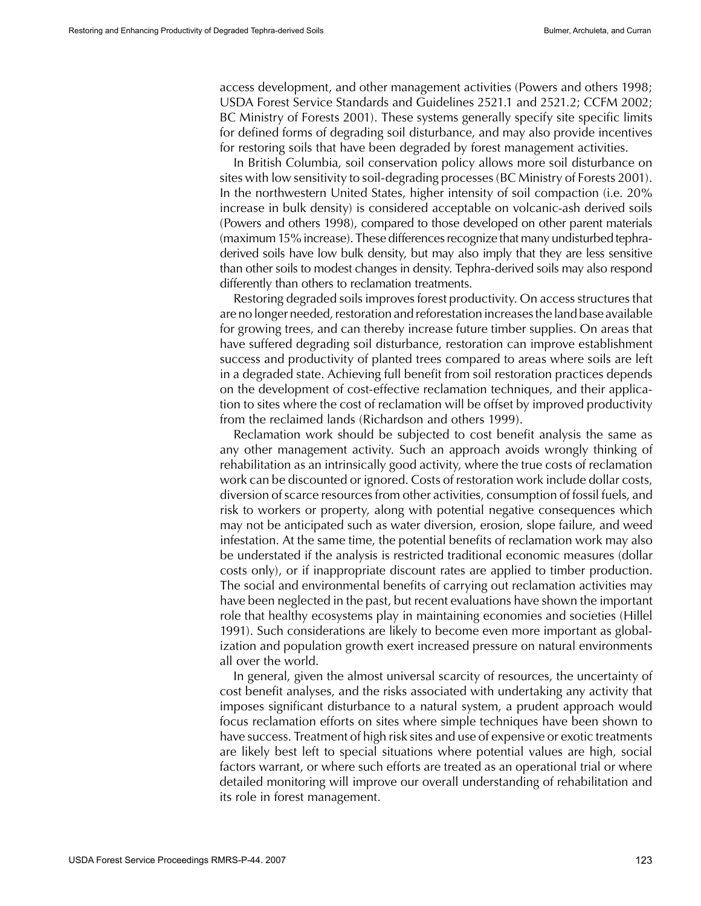access development, and other management activities (Powers and others 1998; USDA Forest Service Standards and Guidelines 2521.1 and 2521.2; CCFM 2002; BC Ministry of Forests 2001). These systems generally specify site specific limits for defined forms of degrading soil disturbance, and may also provide incentives for restoring soils that have been degraded by forest management activities.

In British Columbia, soil conservation policy allows more soil disturbance on sites with low sensitivity to soil-degrading processes(BC Ministry of Forests 2001). In the northwestern United States, higher intensity of soil compaction (i.e. 20% increase in bulk density) is considered acceptable on volcanic-ash derived soils (Powers and others 1998), compared to those developed on other parent materials (maximum 15% increase). These differencesrecognize that many undisturbed tephraderived soils have low bulk density, but may also imply that they are less sensitive than other soils to modest changes in density. Tephra-derived soils may also respond differently than others to reclamation treatments.

Restoring degraded soils improves forest productivity. On access structures that are no longer needed, restoration and reforestation increases the land base available for growing trees, and can thereby increase future timber supplies. On areas that have suffered degrading soil disturbance, restoration can improve establishment success and productivity of planted trees compared to areas where soils are left in a degraded state. Achieving full benefit from soil restoration practices depends on the development of cost-effective reclamation techniques, and their application to sites where the cost of reclamation will be offset by improved productivity from the reclaimed lands (Richardson and others 1999).

Reclamation work should be subjected to cost benefit analysis the same as any other management activity. Such an approach avoids wrongly thinking of rehabilitation as an intrinsically good activity, where the true costs of reclamation work can be discounted or ignored. Costs of restoration work include dollar costs, diversion ofscarce resourcesfrom other activities, consumption of fossil fuels, and risk to workers or property, along with potential negative consequences which may not be anticipated such as water diversion, erosion, slope failure, and weed infestation. At the same time, the potential benefits of reclamation work may also be understated if the analysis is restricted traditional economic measures (dollar costs only), or if inappropriate discount rates are applied to timber production. The social and environmental benefits of carrying out reclamation activities may have been neglected in the past, but recent evaluations have shown the important role that healthy ecosystems play in maintaining economies and societies (Hillel 1991). Such considerations are likely to become even more important as globalization and population growth exert increased pressure on natural environments all over the world.

In general, given the almost universal scarcity of resources, the uncertainty of cost benefit analyses, and the risks associated with undertaking any activity that imposes significant disturbance to a natural system, a prudent approach would focus reclamation efforts on sites where simple techniques have been shown to have success. Treatment of high risk sites and use of expensive or exotic treatments are likely best left to special situations where potential values are high, social factors warrant, or where such efforts are treated as an operational trial or where detailed monitoring will improve our overall understanding of rehabilitation and its role in forest management.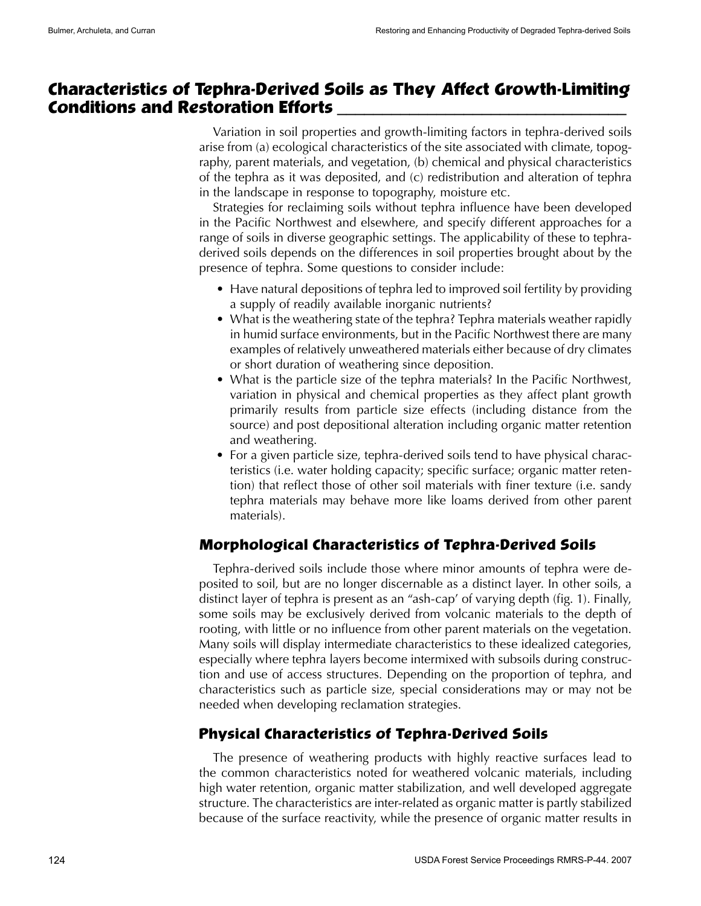# **Characteristics of Tephra-Derived Soils as They Affect Growth-Limiting Conditions and Restoration Efforts \_\_\_\_\_\_\_\_\_\_\_\_\_\_\_\_\_\_\_\_\_\_\_\_\_\_\_\_\_\_\_\_**

Variation in soil properties and growth-limiting factors in tephra-derived soils arise from (a) ecological characteristics of the site associated with climate, topography, parent materials, and vegetation, (b) chemical and physical characteristics of the tephra as it was deposited, and (c) redistribution and alteration of tephra in the landscape in response to topography, moisture etc.

Strategies for reclaiming soils without tephra influence have been developed in the Pacific Northwest and elsewhere, and specify different approaches for a range of soils in diverse geographic settings. The applicability of these to tephraderived soils depends on the differences in soil properties brought about by the presence of tephra. Some questions to consider include:

- Have natural depositions of tephra led to improved soil fertility by providing a supply of readily available inorganic nutrients?
- What is the weathering state of the tephra? Tephra materials weather rapidly in humid surface environments, but in the Pacific Northwest there are many examples of relatively unweathered materials either because of dry climates or short duration of weathering since deposition.
- What is the particle size of the tephra materials? In the Pacific Northwest, variation in physical and chemical properties as they affect plant growth primarily results from particle size effects (including distance from the source) and post depositional alteration including organic matter retention and weathering.
- For a given particle size, tephra-derived soils tend to have physical characteristics (i.e. water holding capacity; specific surface; organic matter retention) that reflect those of other soil materials with finer texture (i.e. sandy tephra materials may behave more like loams derived from other parent materials).

# **Morphological Characteristics of Tephra-Derived Soils**

Tephra-derived soils include those where minor amounts of tephra were deposited to soil, but are no longer discernable as a distinct layer. In other soils, a distinct layer of tephra is present as an "ash-cap' of varying depth (fig. 1). Finally, some soils may be exclusively derived from volcanic materials to the depth of rooting, with little or no influence from other parent materials on the vegetation. Many soils will display intermediate characteristics to these idealized categories, especially where tephra layers become intermixed with subsoils during construction and use of access structures. Depending on the proportion of tephra, and characteristics such as particle size, special considerations may or may not be needed when developing reclamation strategies.

# **Physical Characteristics of Tephra-Derived Soils**

The presence of weathering products with highly reactive surfaces lead to the common characteristics noted for weathered volcanic materials, including high water retention, organic matter stabilization, and well developed aggregate structure. The characteristics are inter-related as organic matter is partly stabilized because of the surface reactivity, while the presence of organic matter results in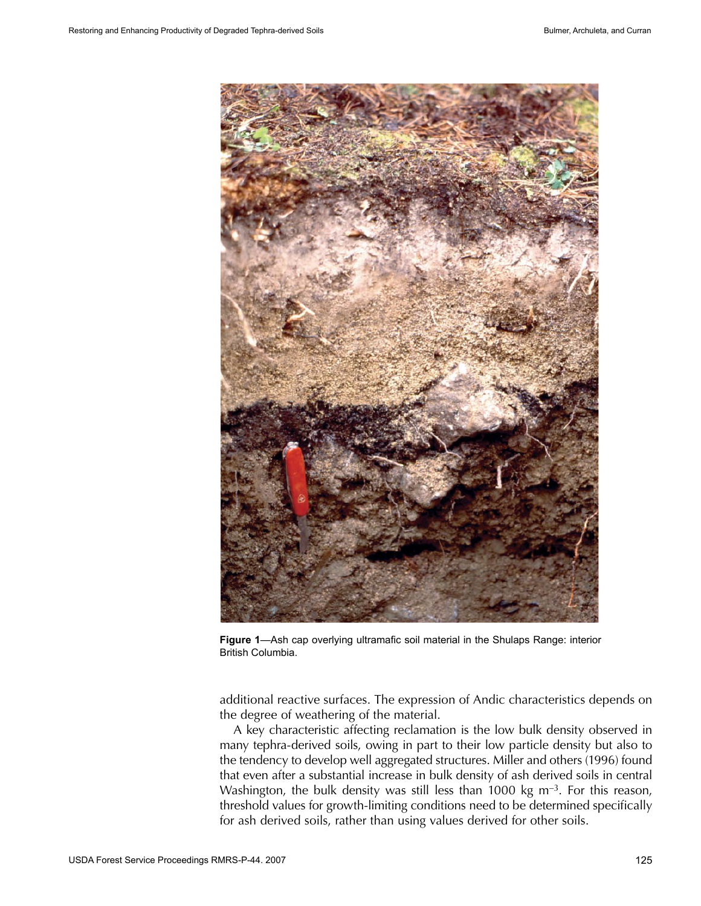

**Figure 1**—Ash cap overlying ultramafic soil material in the Shulaps Range: interior British Columbia.

additional reactive surfaces. The expression of Andic characteristics depends on the degree of weathering of the material.

A key characteristic affecting reclamation is the low bulk density observed in many tephra-derived soils, owing in part to their low particle density but also to the tendency to develop well aggregated structures. Miller and others (1996) found that even after a substantial increase in bulk density of ash derived soils in central Washington, the bulk density was still less than 1000 kg  $m^{-3}$ . For this reason, threshold values for growth-limiting conditions need to be determined specifically for ash derived soils, rather than using values derived for other soils.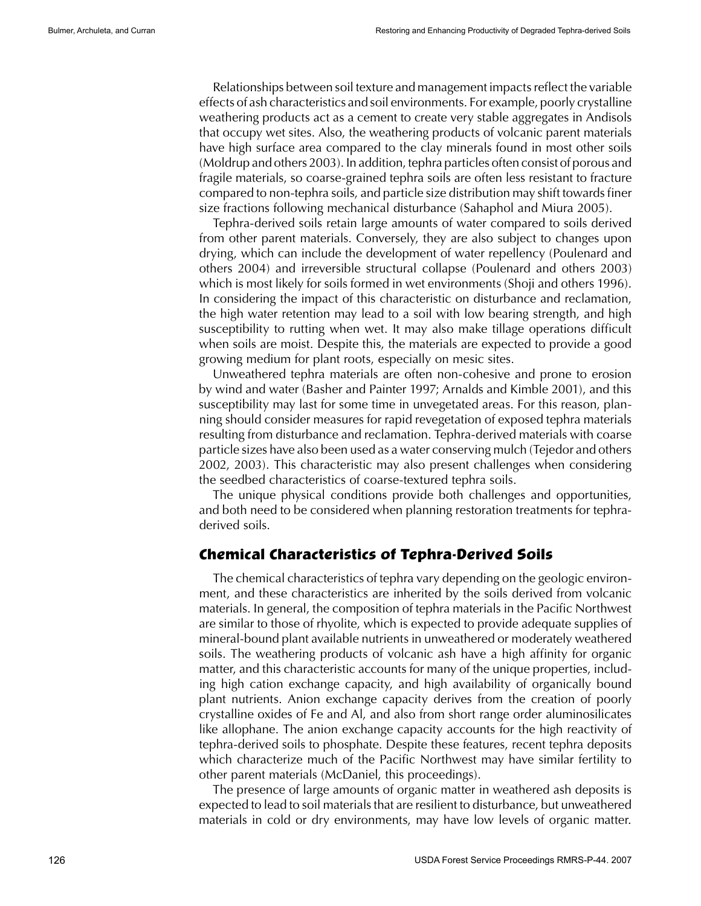Relationships between soil texture and management impactsreflect the variable effects of ash characteristics and soil environments. For example, poorly crystalline weathering products act as a cement to create very stable aggregates in Andisols that occupy wet sites. Also, the weathering products of volcanic parent materials have high surface area compared to the clay minerals found in most other soils (Moldrup and others 2003). In addition, tephra particles often consist of porous and fragile materials, so coarse-grained tephra soils are often less resistant to fracture compared to non-tephra soils, and particle size distribution may shift towardsfiner size fractions following mechanical disturbance (Sahaphol and Miura 2005).

Tephra-derived soils retain large amounts of water compared to soils derived from other parent materials. Conversely, they are also subject to changes upon drying, which can include the development of water repellency (Poulenard and others 2004) and irreversible structural collapse (Poulenard and others 2003) which is most likely for soils formed in wet environments (Shoji and others 1996). In considering the impact of this characteristic on disturbance and reclamation, the high water retention may lead to a soil with low bearing strength, and high susceptibility to rutting when wet. It may also make tillage operations difficult when soils are moist. Despite this, the materials are expected to provide a good growing medium for plant roots, especially on mesic sites.

Unweathered tephra materials are often non-cohesive and prone to erosion by wind and water (Basher and Painter 1997; Arnalds and Kimble 2001), and this susceptibility may last for some time in unvegetated areas. For this reason, planning should consider measures for rapid revegetation of exposed tephra materials resulting from disturbance and reclamation. Tephra-derived materials with coarse particle sizes have also been used as a water conserving mulch (Tejedor and others 2002, 2003). This characteristic may also present challenges when considering the seedbed characteristics of coarse-textured tephra soils.

The unique physical conditions provide both challenges and opportunities, and both need to be considered when planning restoration treatments for tephraderived soils.

#### **Chemical Characteristics of Tephra-Derived Soils**

The chemical characteristics of tephra vary depending on the geologic environment, and these characteristics are inherited by the soils derived from volcanic materials. In general, the composition of tephra materials in the Pacific Northwest are similar to those of rhyolite, which is expected to provide adequate supplies of mineral-bound plant available nutrients in unweathered or moderately weathered soils. The weathering products of volcanic ash have a high affinity for organic matter, and this characteristic accounts for many of the unique properties, including high cation exchange capacity, and high availability of organically bound plant nutrients. Anion exchange capacity derives from the creation of poorly crystalline oxides of Fe and Al, and also from short range order aluminosilicates like allophane. The anion exchange capacity accounts for the high reactivity of tephra-derived soils to phosphate. Despite these features, recent tephra deposits which characterize much of the Pacific Northwest may have similar fertility to other parent materials (McDaniel, this proceedings).

The presence of large amounts of organic matter in weathered ash deposits is expected to lead to soil materials that are resilient to disturbance, but unweathered materials in cold or dry environments, may have low levels of organic matter.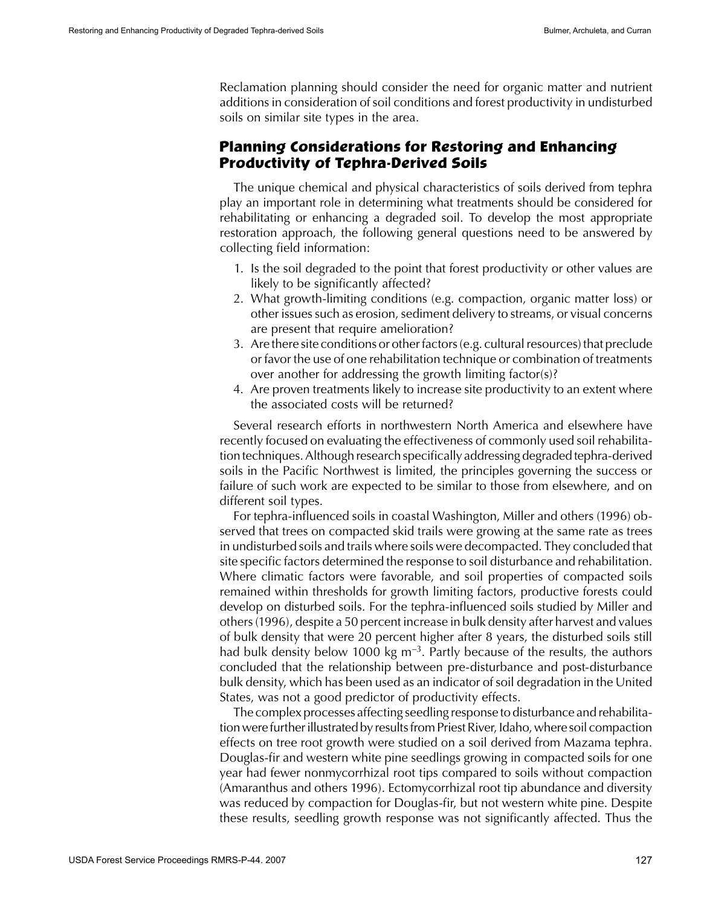Reclamation planning should consider the need for organic matter and nutrient additions in consideration of soil conditions and forest productivity in undisturbed soils on similar site types in the area.

#### **Planning Considerations for Restoring and Enhancing Productivity of Tephra-Derived Soils**

The unique chemical and physical characteristics of soils derived from tephra play an important role in determining what treatments should be considered for rehabilitating or enhancing a degraded soil. To develop the most appropriate restoration approach, the following general questions need to be answered by collecting field information:

- 1. Is the soil degraded to the point that forest productivity or other values are likely to be significantly affected?
- 2. What growth-limiting conditions (e.g. compaction, organic matter loss) or other issues such as erosion, sediment delivery to streams, or visual concerns are present that require amelioration?
- 3. Are there site conditions or other factors (e.g. cultural resources) that preclude or favor the use of one rehabilitation technique or combination of treatments over another for addressing the growth limiting factor(s)?
- 4. Are proven treatments likely to increase site productivity to an extent where the associated costs will be returned?

Several research efforts in northwestern North America and elsewhere have recently focused on evaluating the effectiveness of commonly used soil rehabilitation techniques.Although research specifically addressing degraded tephra-derived soils in the Pacific Northwest is limited, the principles governing the success or failure of such work are expected to be similar to those from elsewhere, and on different soil types.

For tephra-influenced soils in coastal Washington, Miller and others (1996) observed that trees on compacted skid trails were growing at the same rate as trees in undisturbed soils and trails where soils were decompacted. They concluded that site specific factors determined the response to soil disturbance and rehabilitation. Where climatic factors were favorable, and soil properties of compacted soils remained within thresholds for growth limiting factors, productive forests could develop on disturbed soils. For the tephra-influenced soils studied by Miller and others(1996), despite a 50 percent increase in bulk density after harvest and values of bulk density that were 20 percent higher after 8 years, the disturbed soils still had bulk density below 1000 kg  $m^{-3}$ . Partly because of the results, the authors concluded that the relationship between pre-disturbance and post-disturbance bulk density, which has been used as an indicator of soil degradation in the United States, was not a good predictor of productivity effects.

The complex processes affecting seedling response to disturbance and rehabilitation were further illustrated by results from Priest River, Idaho, where soil compaction effects on tree root growth were studied on a soil derived from Mazama tephra. Douglas-fir and western white pine seedlings growing in compacted soils for one year had fewer nonmycorrhizal root tips compared to soils without compaction (Amaranthus and others 1996). Ectomycorrhizal root tip abundance and diversity was reduced by compaction for Douglas-fir, but not western white pine. Despite these results, seedling growth response was not significantly affected. Thus the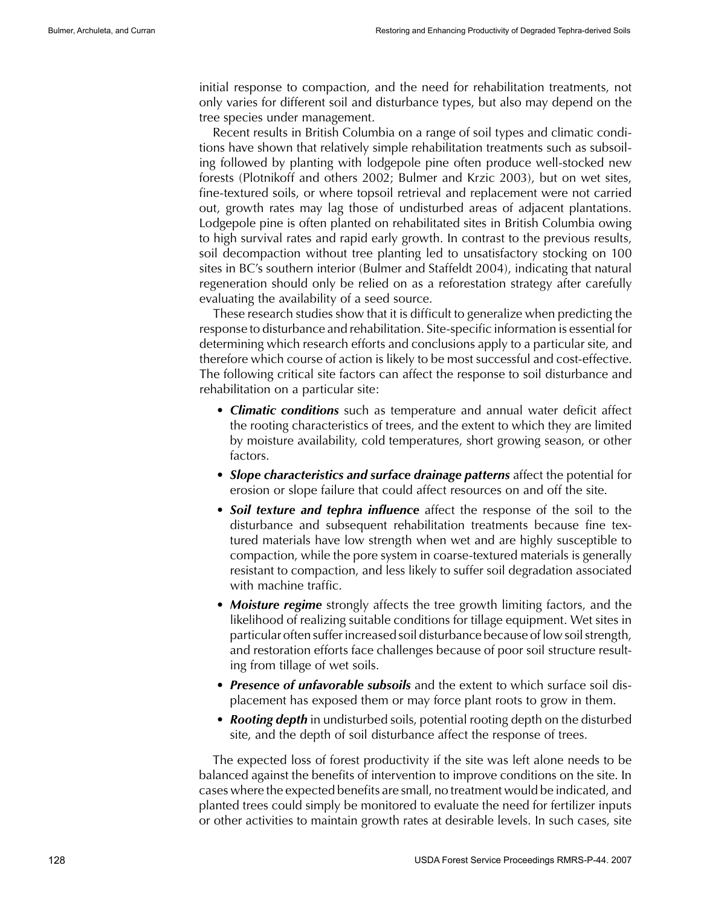initial response to compaction, and the need for rehabilitation treatments, not only varies for different soil and disturbance types, but also may depend on the tree species under management.

Recent results in British Columbia on a range of soil types and climatic conditions have shown that relatively simple rehabilitation treatments such as subsoiling followed by planting with lodgepole pine often produce well-stocked new forests (Plotnikoff and others 2002; Bulmer and Krzic 2003), but on wet sites, fine-textured soils, or where topsoil retrieval and replacement were not carried out, growth rates may lag those of undisturbed areas of adjacent plantations. Lodgepole pine is often planted on rehabilitated sites in British Columbia owing to high survival rates and rapid early growth. In contrast to the previous results, soil decompaction without tree planting led to unsatisfactory stocking on 100 sites in BC's southern interior (Bulmer and Staffeldt 2004), indicating that natural regeneration should only be relied on as a reforestation strategy after carefully evaluating the availability of a seed source.

These research studies show that it is difficult to generalize when predicting the response to disturbance and rehabilitation. Site-specific information is essential for determining which research efforts and conclusions apply to a particular site, and therefore which course of action is likely to be most successful and cost-effective. The following critical site factors can affect the response to soil disturbance and rehabilitation on a particular site:

- • *Climatic conditions* such as temperature and annual water deficit affect the rooting characteristics of trees, and the extent to which they are limited by moisture availability, cold temperatures, short growing season, or other factors.
- **Slope characteristics and surface drainage patterns** affect the potential for erosion or slope failure that could affect resources on and off the site.
- **Soil texture and tephra influence** affect the response of the soil to the disturbance and subsequent rehabilitation treatments because fine textured materials have low strength when wet and are highly susceptible to compaction, while the pore system in coarse-textured materials is generally resistant to compaction, and less likely to suffer soil degradation associated with machine traffic.
- **Moisture regime** strongly affects the tree growth limiting factors, and the likelihood of realizing suitable conditions for tillage equipment. Wet sites in particular often suffer increased soil disturbance because of low soil strength, and restoration efforts face challenges because of poor soil structure resulting from tillage of wet soils.
- Presence of *unfavorable subsoils* and the extent to which surface soil displacement has exposed them or may force plant roots to grow in them.
- **Rooting depth** in undisturbed soils, potential rooting depth on the disturbed site, and the depth of soil disturbance affect the response of trees.

The expected loss of forest productivity if the site was left alone needs to be balanced against the benefits of intervention to improve conditions on the site. In cases where the expected benefits are small, no treatment would be indicated, and planted trees could simply be monitored to evaluate the need for fertilizer inputs or other activities to maintain growth rates at desirable levels. In such cases, site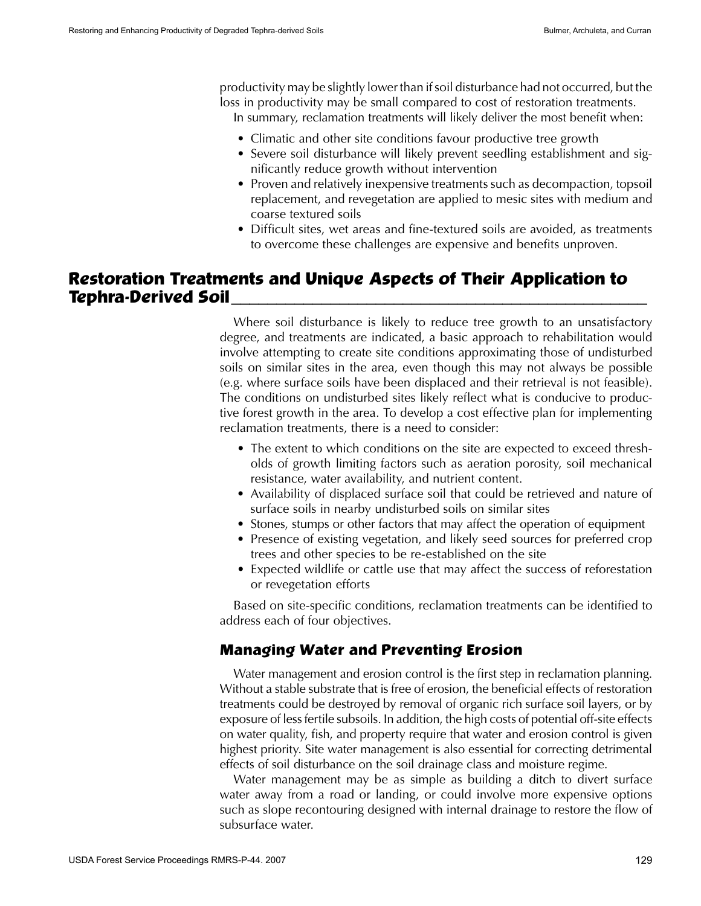productivity may be slightly lowerthan ifsoil disturbance had not occurred, but the loss in productivity may be small compared to cost of restoration treatments.

In summary, reclamation treatments will likely deliver the most benefit when:

- Climatic and other site conditions favour productive tree growth
- Severe soil disturbance will likely prevent seedling establishment and significantly reduce growth without intervention
- Proven and relatively inexpensive treatments such as decompaction, topsoil replacement, and revegetation are applied to mesic sites with medium and coarse textured soils
- Difficult sites, wet areas and fine-textured soils are avoided, as treatments to overcome these challenges are expensive and benefits unproven.

# **Restoration Treatments and Unique Aspects of Their Application to Tephra-Derived Soil\_\_\_\_\_\_\_\_\_\_\_\_\_\_\_\_\_\_\_\_\_\_\_\_\_\_\_\_\_\_\_\_\_\_\_\_\_\_\_\_\_\_\_\_\_\_**

Where soil disturbance is likely to reduce tree growth to an unsatisfactory degree, and treatments are indicated, a basic approach to rehabilitation would involve attempting to create site conditions approximating those of undisturbed soils on similar sites in the area, even though this may not always be possible (e.g. where surface soils have been displaced and their retrieval is not feasible). The conditions on undisturbed sites likely reflect what is conducive to productive forest growth in the area. To develop a cost effective plan for implementing reclamation treatments, there is a need to consider:

- The extent to which conditions on the site are expected to exceed thresholds of growth limiting factors such as aeration porosity, soil mechanical resistance, water availability, and nutrient content.
- Availability of displaced surface soil that could be retrieved and nature of surface soils in nearby undisturbed soils on similar sites
- Stones, stumps or other factors that may affect the operation of equipment
- Presence of existing vegetation, and likely seed sources for preferred crop trees and other species to be re-established on the site
- Expected wildlife or cattle use that may affect the success of reforestation or revegetation efforts

Based on site-specific conditions, reclamation treatments can be identified to address each of four objectives.

#### **Managing Water and Preventing Erosion**

Water management and erosion control is the first step in reclamation planning. Without a stable substrate that is free of erosion, the beneficial effects of restoration treatments could be destroyed by removal of organic rich surface soil layers, or by exposure of lessfertile subsoils. In addition, the high costs of potential off-site effects on water quality, fish, and property require that water and erosion control is given highest priority. Site water management is also essential for correcting detrimental effects of soil disturbance on the soil drainage class and moisture regime.

Water management may be as simple as building a ditch to divert surface water away from a road or landing, or could involve more expensive options such as slope recontouring designed with internal drainage to restore the flow of subsurface water.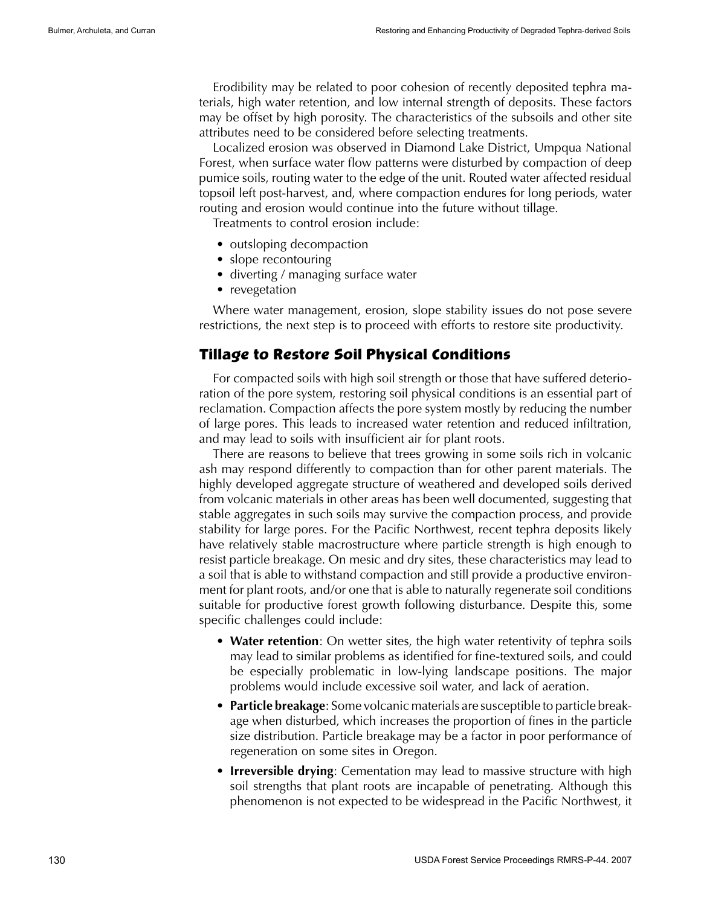Erodibility may be related to poor cohesion of recently deposited tephra materials, high water retention, and low internal strength of deposits. These factors may be offset by high porosity. The characteristics of the subsoils and other site attributes need to be considered before selecting treatments.

Localized erosion was observed in Diamond Lake District, Umpqua National Forest, when surface water flow patterns were disturbed by compaction of deep pumice soils, routing water to the edge of the unit. Routed water affected residual topsoil left post-harvest, and, where compaction endures for long periods, water routing and erosion would continue into the future without tillage.

Treatments to control erosion include:

- outsloping decompaction
- slope recontouring
- diverting / managing surface water
- revegetation

Where water management, erosion, slope stability issues do not pose severe restrictions, the next step is to proceed with efforts to restore site productivity.

#### **Tillage to Restore Soil Physical Conditions**

For compacted soils with high soil strength or those that have suffered deterioration of the pore system, restoring soil physical conditions is an essential part of reclamation. Compaction affects the pore system mostly by reducing the number of large pores. This leads to increased water retention and reduced infiltration, and may lead to soils with insufficient air for plant roots.

There are reasons to believe that trees growing in some soils rich in volcanic ash may respond differently to compaction than for other parent materials. The highly developed aggregate structure of weathered and developed soils derived from volcanic materials in other areas has been well documented, suggesting that stable aggregates in such soils may survive the compaction process, and provide stability for large pores. For the Pacific Northwest, recent tephra deposits likely have relatively stable macrostructure where particle strength is high enough to resist particle breakage. On mesic and dry sites, these characteristics may lead to a soil that is able to withstand compaction and still provide a productive environment for plant roots, and/or one that is able to naturally regenerate soil conditions suitable for productive forest growth following disturbance. Despite this, some specific challenges could include:

- **Water retention**: On wetter sites, the high water retentivity of tephra soils may lead to similar problems as identified for fine-textured soils, and could be especially problematic in low-lying landscape positions. The major problems would include excessive soil water, and lack of aeration.
- • **Particle breakage**: Some volcanic materials are susceptible to particle breakage when disturbed, which increases the proportion of fines in the particle size distribution. Particle breakage may be a factor in poor performance of regeneration on some sites in Oregon.
- **Irreversible drying**: Cementation may lead to massive structure with high soil strengths that plant roots are incapable of penetrating. Although this phenomenon is not expected to be widespread in the Pacific Northwest, it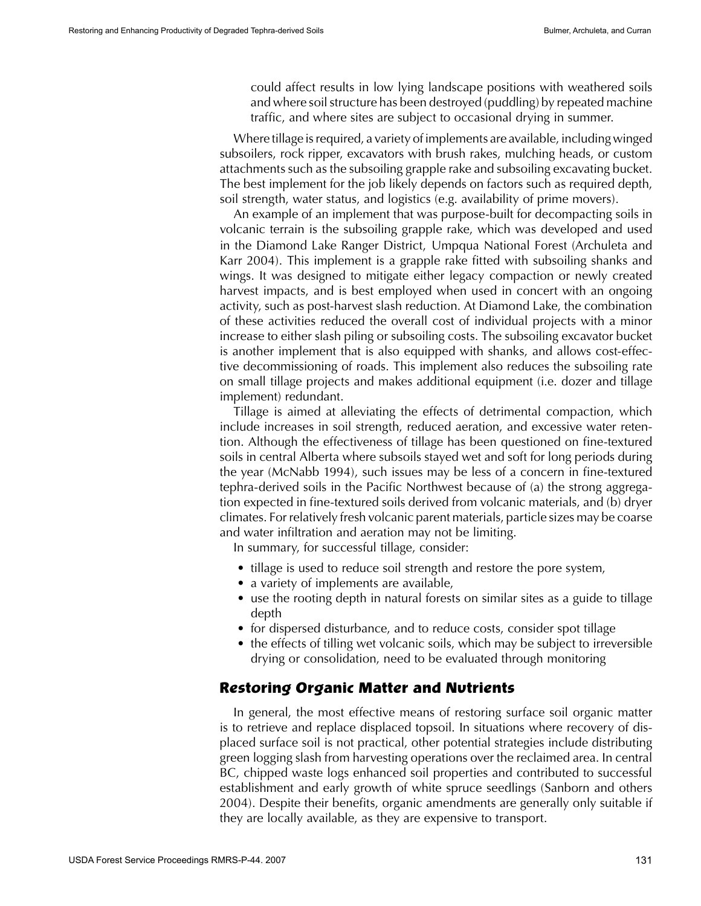could affect results in low lying landscape positions with weathered soils and where soil structure has been destroyed (puddling) by repeated machine traffic, and where sites are subject to occasional drying in summer.

Where tillage is required, a variety of implements are available, including winged subsoilers, rock ripper, excavators with brush rakes, mulching heads, or custom attachments such as the subsoiling grapple rake and subsoiling excavating bucket. The best implement for the job likely depends on factors such as required depth, soil strength, water status, and logistics (e.g. availability of prime movers).

An example of an implement that was purpose-built for decompacting soils in volcanic terrain is the subsoiling grapple rake, which was developed and used in the Diamond Lake Ranger District, Umpqua National Forest (Archuleta and Karr 2004). This implement is a grapple rake fitted with subsoiling shanks and wings. It was designed to mitigate either legacy compaction or newly created harvest impacts, and is best employed when used in concert with an ongoing activity, such as post-harvest slash reduction. At Diamond Lake, the combination of these activities reduced the overall cost of individual projects with a minor increase to either slash piling or subsoiling costs. The subsoiling excavator bucket is another implement that is also equipped with shanks, and allows cost-effective decommissioning of roads. This implement also reduces the subsoiling rate on small tillage projects and makes additional equipment (i.e. dozer and tillage implement) redundant.

Tillage is aimed at alleviating the effects of detrimental compaction, which include increases in soil strength, reduced aeration, and excessive water retention. Although the effectiveness of tillage has been questioned on fine-textured soils in central Alberta where subsoils stayed wet and soft for long periods during the year (McNabb 1994), such issues may be less of a concern in fine-textured tephra-derived soils in the Pacific Northwest because of (a) the strong aggregation expected in fine-textured soils derived from volcanic materials, and (b) dryer climates. For relatively fresh volcanic parent materials, particle sizes may be coarse and water infiltration and aeration may not be limiting.

In summary, for successful tillage, consider:

- tillage is used to reduce soil strength and restore the pore system,
- a variety of implements are available,
- use the rooting depth in natural forests on similar sites as a guide to tillage depth
- for dispersed disturbance, and to reduce costs, consider spot tillage
- the effects of tilling wet volcanic soils, which may be subject to irreversible drying or consolidation, need to be evaluated through monitoring

#### **Restoring Organic Matter and Nutrients**

In general, the most effective means of restoring surface soil organic matter is to retrieve and replace displaced topsoil. In situations where recovery of displaced surface soil is not practical, other potential strategies include distributing green logging slash from harvesting operations over the reclaimed area. In central BC, chipped waste logs enhanced soil properties and contributed to successful establishment and early growth of white spruce seedlings (Sanborn and others 2004). Despite their benefits, organic amendments are generally only suitable if they are locally available, as they are expensive to transport.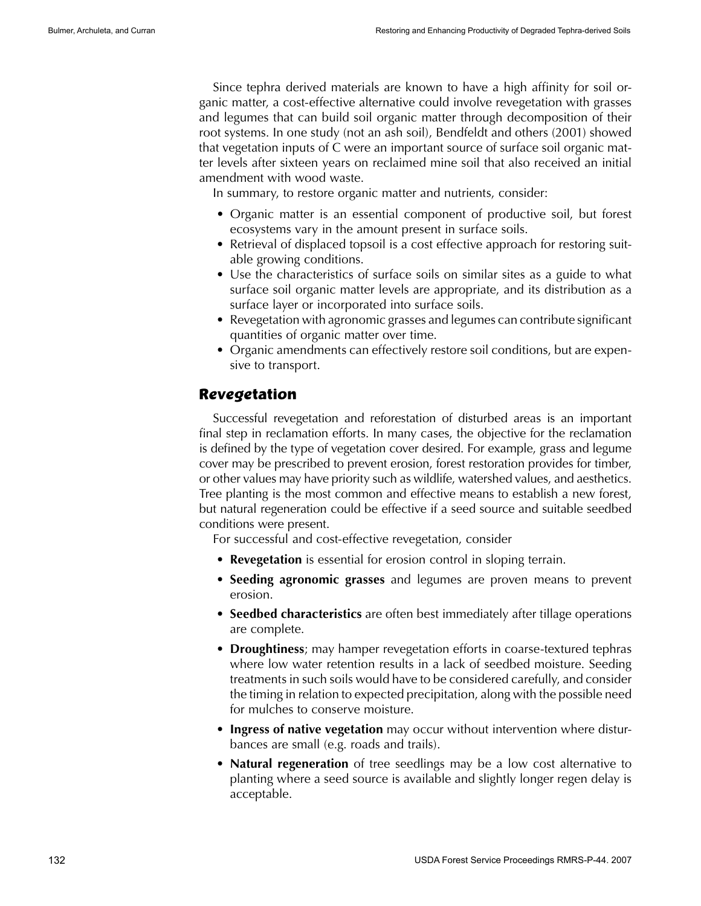Since tephra derived materials are known to have a high affinity for soil organic matter, a cost-effective alternative could involve revegetation with grasses and legumes that can build soil organic matter through decomposition of their root systems. In one study (not an ash soil), Bendfeldt and others (2001) showed that vegetation inputs of C were an important source of surface soil organic matter levels after sixteen years on reclaimed mine soil that also received an initial amendment with wood waste.

In summary, to restore organic matter and nutrients, consider:

- Organic matter is an essential component of productive soil, but forest ecosystems vary in the amount present in surface soils.
- Retrieval of displaced topsoil is a cost effective approach for restoring suitable growing conditions.
- Use the characteristics of surface soils on similar sites as a guide to what surface soil organic matter levels are appropriate, and its distribution as a surface layer or incorporated into surface soils.
- Revegetation with agronomic grasses and legumes can contribute significant quantities of organic matter over time.
- Organic amendments can effectively restore soil conditions, but are expensive to transport.

#### **Revegetation**

Successful revegetation and reforestation of disturbed areas is an important final step in reclamation efforts. In many cases, the objective for the reclamation is defined by the type of vegetation cover desired. For example, grass and legume cover may be prescribed to prevent erosion, forest restoration provides for timber, or other values may have priority such as wildlife, watershed values, and aesthetics. Tree planting is the most common and effective means to establish a new forest, but natural regeneration could be effective if a seed source and suitable seedbed conditions were present.

For successful and cost-effective revegetation, consider

- **Revegetation** is essential for erosion control in sloping terrain.
- • **Seeding agronomic grasses** and legumes are proven means to prevent erosion.
- • **Seedbed characteristics** are often best immediately after tillage operations are complete.
- **Droughtiness**; may hamper revegetation efforts in coarse-textured tephras where low water retention results in a lack of seedbed moisture. Seeding treatments in such soils would have to be considered carefully, and consider the timing in relation to expected precipitation, along with the possible need for mulches to conserve moisture.
- **Ingress of native vegetation** may occur without intervention where disturbances are small (e.g. roads and trails).
- • **Natural regeneration** of tree seedlings may be a low cost alternative to planting where a seed source is available and slightly longer regen delay is acceptable.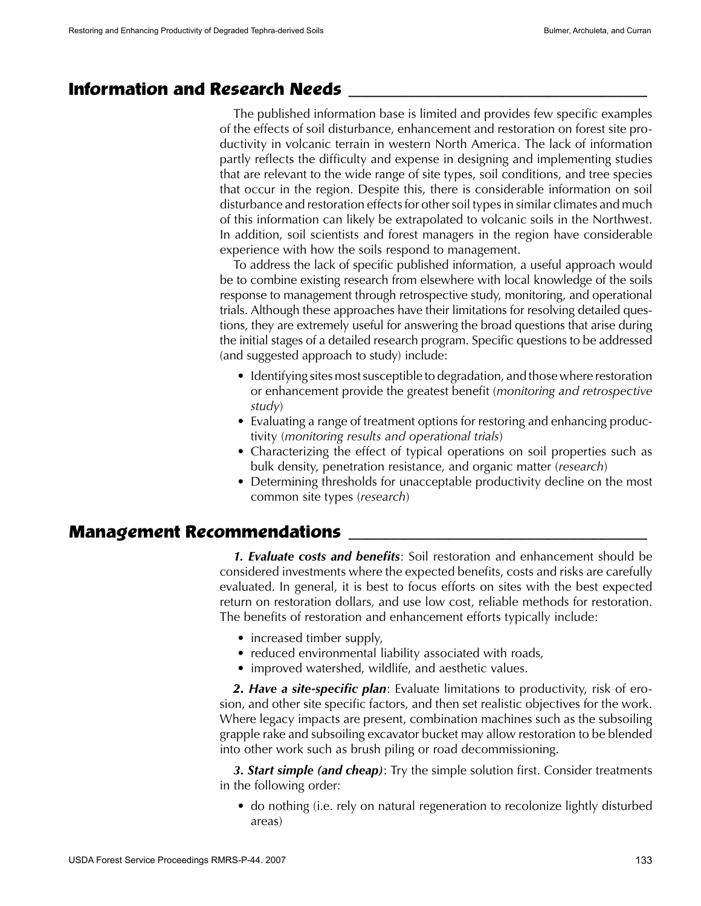# **Information and Research Needs \_\_\_\_\_\_\_\_\_\_\_\_\_\_\_\_\_\_\_\_\_\_\_\_\_\_\_\_\_\_\_\_\_**

The published information base is limited and provides few specific examples of the effects of soil disturbance, enhancement and restoration on forest site productivity in volcanic terrain in western North America. The lack of information partly reflects the difficulty and expense in designing and implementing studies that are relevant to the wide range of site types, soil conditions, and tree species that occur in the region. Despite this, there is considerable information on soil disturbance and restoration effects for other soil types in similar climates and much of this information can likely be extrapolated to volcanic soils in the Northwest. In addition, soil scientists and forest managers in the region have considerable experience with how the soils respond to management.

To address the lack of specific published information, a useful approach would be to combine existing research from elsewhere with local knowledge of the soils response to management through retrospective study, monitoring, and operational trials. Although these approaches have their limitations for resolving detailed questions, they are extremely useful for answering the broad questions that arise during the initial stages of a detailed research program. Specific questions to be addressed (and suggested approach to study) include:

- Identifying sites most susceptible to degradation, and those where restoration or enhancement provide the greatest benefit (*monitoring and retrospective study*)
- Evaluating a range of treatment options for restoring and enhancing productivity (*monitoring results and operational trials*)
- Characterizing the effect of typical operations on soil properties such as bulk density, penetration resistance, and organic matter (*research*)
- Determining thresholds for unacceptable productivity decline on the most common site types (*research*)

#### **Management Recommendations**

*1. Evaluate costs and benefits*: Soil restoration and enhancement should be considered investments where the expected benefits, costs and risks are carefully evaluated. In general, it is best to focus efforts on sites with the best expected return on restoration dollars, and use low cost, reliable methods for restoration. The benefits of restoration and enhancement efforts typically include:

- increased timber supply,
- reduced environmental liability associated with roads,
- improved watershed, wildlife, and aesthetic values.

*2. Have a site-specific plan*: Evaluate limitations to productivity, risk of erosion, and other site specific factors, and then set realistic objectives for the work. Where legacy impacts are present, combination machines such as the subsoiling grapple rake and subsoiling excavator bucket may allow restoration to be blended into other work such as brush piling or road decommissioning.

*3. Start simple (and cheap)*: Try the simple solution first. Consider treatments in the following order:

• do nothing (i.e. rely on natural regeneration to recolonize lightly disturbed areas)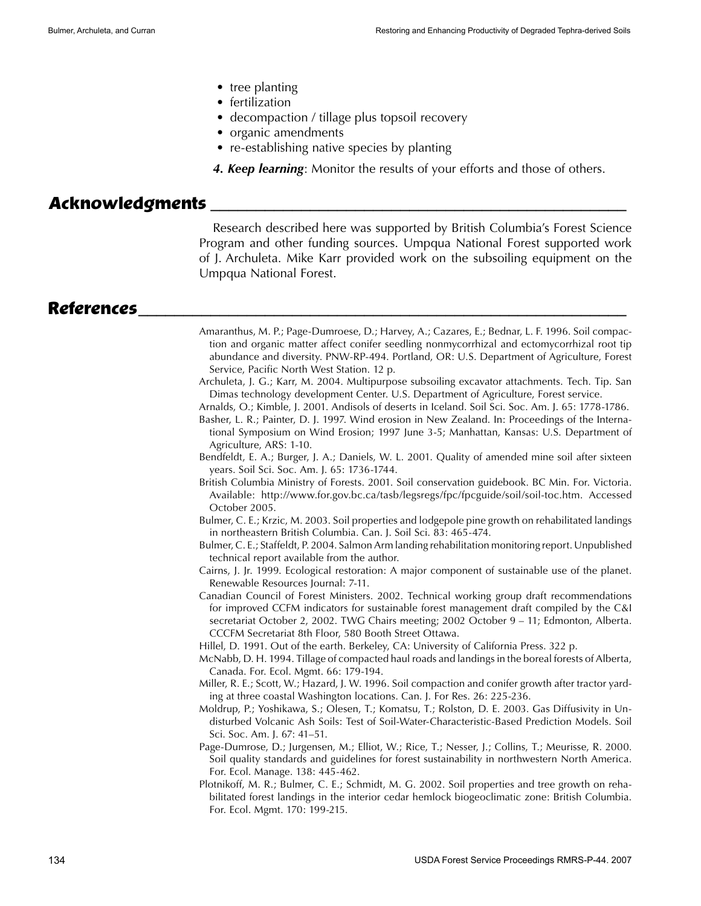- tree planting
- fertilization
- decompaction / tillage plus topsoil recovery
- organic amendments
- re-establishing native species by planting
- *4. Keep learning*: Monitor the results of your efforts and those of others.

# **Acknowledgments \_\_\_\_\_\_\_\_\_\_\_\_\_\_\_\_\_\_\_\_\_\_\_\_\_\_\_\_\_\_\_\_\_\_\_\_\_\_\_\_\_\_\_\_\_\_**

Research described here was supported by British Columbia's Forest Science Program and other funding sources. Umpqua National Forest supported work of J. Archuleta. Mike Karr provided work on the subsoiling equipment on the Umpqua National Forest.

#### **References\_\_\_\_\_\_\_\_\_\_\_\_\_\_\_\_\_\_\_\_\_\_\_\_\_\_\_\_\_\_\_\_\_\_\_\_\_\_\_\_\_\_\_\_\_\_\_\_\_\_\_\_\_\_**

- Amaranthus, M. P.; Page-Dumroese, D.; Harvey, A.; Cazares, E.; Bednar, L. F. 1996. Soil compaction and organic matter affect conifer seedling nonmycorrhizal and ectomycorrhizal root tip abundance and diversity. PNW-RP-494. Portland, OR: U.S. Department of Agriculture, Forest Service, Pacific North West Station. 12 p.
- Archuleta, J. G.; Karr, M. 2004. Multipurpose subsoiling excavator attachments. Tech. Tip. San Dimas technology development Center. U.S. Department of Agriculture, Forest service.
- Arnalds, O.; Kimble, J. 2001. Andisols of deserts in Iceland. Soil Sci. Soc. Am. J. 65: 1778-1786.
- Basher, L. R.; Painter, D. J. 1997. Wind erosion in New Zealand. In: Proceedings of the International Symposium on Wind Erosion; 1997 June 3-5; Manhattan, Kansas: U.S. Department of Agriculture, ARS: 1-10.
- Bendfeldt, E. A.; Burger, J. A.; Daniels, W. L. 2001. Quality of amended mine soil after sixteen years. Soil Sci. Soc. Am. J. 65: 1736-1744.
- British Columbia Ministry of Forests. 2001. Soil conservation guidebook. BC Min. For. Victoria. Available: http://www.for.gov.bc.ca/tasb/legsregs/fpc/fpcguide/soil/soil-toc.htm. Accessed October 2005.
- Bulmer, C. E.; Krzic, M. 2003. Soil properties and lodgepole pine growth on rehabilitated landings in northeastern British Columbia. Can. J. Soil Sci. 83: 465-474.
- Bulmer, C. E.; Staffeldt, P. 2004. Salmon Arm landing rehabilitation monitoring report. Unpublished technical report available from the author.
- Cairns, J. Jr. 1999. Ecological restoration: A major component of sustainable use of the planet. Renewable Resources Journal: 7-11.
- Canadian Council of Forest Ministers. 2002. Technical working group draft recommendations for improved CCFM indicators for sustainable forest management draft compiled by the C&I secretariat October 2, 2002. TWG Chairs meeting; 2002 October 9 – 11; Edmonton, Alberta. CCCFM Secretariat 8th Floor, 580 Booth Street Ottawa.
- Hillel, D. 1991. Out of the earth. Berkeley, CA: University of California Press. 322 p.
- McNabb, D. H. 1994. Tillage of compacted haul roads and landings in the boreal forests of Alberta, Canada. For. Ecol. Mgmt. 66: 179-194.
- Miller, R. E.; Scott, W.; Hazard, J. W. 1996. Soil compaction and conifer growth after tractor yarding at three coastal Washington locations. Can. J. For Res. 26: 225-236.
- Moldrup, P.; Yoshikawa, S.; Olesen, T.; Komatsu, T.; Rolston, D. E. 2003. Gas Diffusivity in Undisturbed Volcanic Ash Soils: Test of Soil-Water-Characteristic-Based Prediction Models. Soil Sci. Soc. Am. J. 67: 41–51.
- Page-Dumrose, D.; Jurgensen, M.; Elliot, W.; Rice, T.; Nesser, J.; Collins, T.; Meurisse, R. 2000. Soil quality standards and guidelines for forest sustainability in northwestern North America. For. Ecol. Manage. 138: 445-462.
- Plotnikoff, M. R.; Bulmer, C. E.; Schmidt, M. G. 2002. Soil properties and tree growth on rehabilitated forest landings in the interior cedar hemlock biogeoclimatic zone: British Columbia. For. Ecol. Mgmt. 170: 199-215.